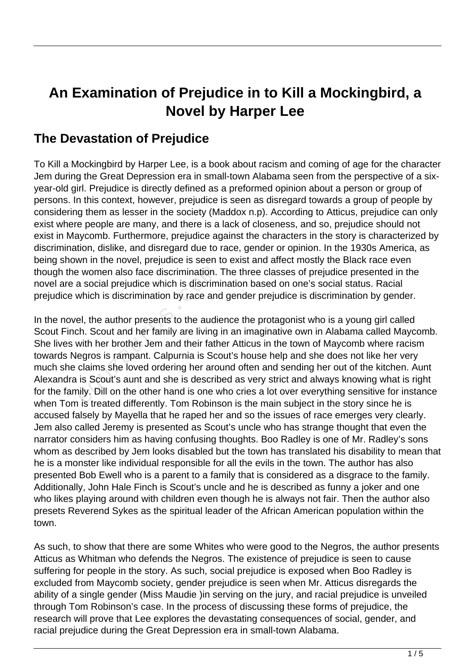## **An Examination of Prejudice in to Kill a Mockingbird, a Novel by Harper Lee**

## **The Devastation of Prejudice**

To Kill a Mockingbird by Harper Lee, is a book about racism and coming of age for the character Jem during the Great Depression era in small-town Alabama seen from the perspective of a sixyear-old girl. Prejudice is directly defined as a preformed opinion about a person or group of persons. In this context, however, prejudice is seen as disregard towards a group of people by considering them as lesser in the society (Maddox n.p). According to Atticus, prejudice can only exist where people are many, and there is a lack of closeness, and so, prejudice should not exist in Maycomb. Furthermore, prejudice against the characters in the story is characterized by discrimination, dislike, and disregard due to race, gender or opinion. In the 1930s America, as being shown in the novel, prejudice is seen to exist and affect mostly the Black race even though the women also face discrimination. The three classes of prejudice presented in the novel are a social prejudice which is discrimination based on one's social status. Racial prejudice which is discrimination by race and gender prejudice is discrimination by gender.

In the novel, the author presents to the audience the protagonist who is a young girl called Scout Finch. Scout and her family are living in an imaginative own in Alabama called Maycomb. She lives with her brother Jem and their father Atticus in the town of Maycomb where racism towards Negros is rampant. Calpurnia is Scout's house help and she does not like her very much she claims she loved ordering her around often and sending her out of the kitchen. Aunt Alexandra is Scout's aunt and she is described as very strict and always knowing what is right for the family. Dill on the other hand is one who cries a lot over everything sensitive for instance when Tom is treated differently. Tom Robinson is the main subject in the story since he is accused falsely by Mayella that he raped her and so the issues of race emerges very clearly. Jem also called Jeremy is presented as Scout's uncle who has strange thought that even the narrator considers him as having confusing thoughts. Boo Radley is one of Mr. Radley's sons whom as described by Jem looks disabled but the town has translated his disability to mean that he is a monster like individual responsible for all the evils in the town. The author has also presented Bob Ewell who is a parent to a family that is considered as a disgrace to the family. Additionally, John Hale Finch is Scout's uncle and he is described as funny a joker and one who likes playing around with children even though he is always not fair. Then the author also presets Reverend Sykes as the spiritual leader of the African American population within the town. Exercise women also face discrimination.<br>
A social prejudice which is discrimination<br>
which is discrimination by race and<br>
Lel, the author presents to the audie<br>
th. Scout and her family are living<br>
with her brother Jem an

As such, to show that there are some Whites who were good to the Negros, the author presents Atticus as Whitman who defends the Negros. The existence of prejudice is seen to cause suffering for people in the story. As such, social prejudice is exposed when Boo Radley is excluded from Maycomb society, gender prejudice is seen when Mr. Atticus disregards the ability of a single gender (Miss Maudie )in serving on the jury, and racial prejudice is unveiled through Tom Robinson's case. In the process of discussing these forms of prejudice, the research will prove that Lee explores the devastating consequences of social, gender, and racial prejudice during the Great Depression era in small-town Alabama.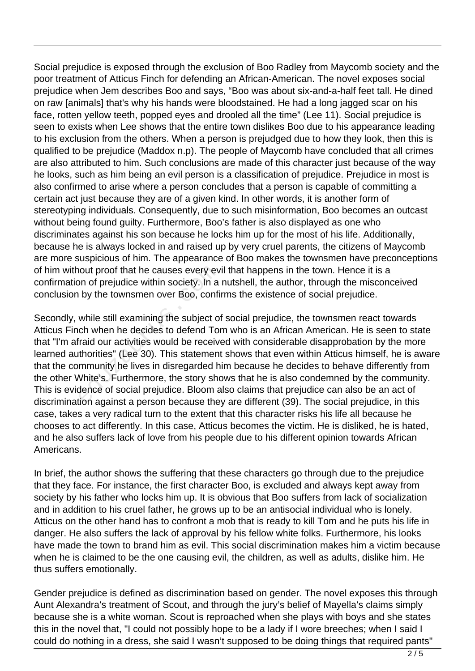Social prejudice is exposed through the exclusion of Boo Radley from Maycomb society and the poor treatment of Atticus Finch for defending an African-American. The novel exposes social prejudice when Jem describes Boo and says, "Boo was about six-and-a-half feet tall. He dined on raw [animals] that's why his hands were bloodstained. He had a long jagged scar on his face, rotten yellow teeth, popped eyes and drooled all the time" (Lee 11). Social prejudice is seen to exists when Lee shows that the entire town dislikes Boo due to his appearance leading to his exclusion from the others. When a person is prejudged due to how they look, then this is qualified to be prejudice (Maddox n.p). The people of Maycomb have concluded that all crimes are also attributed to him. Such conclusions are made of this character just because of the way he looks, such as him being an evil person is a classification of prejudice. Prejudice in most is also confirmed to arise where a person concludes that a person is capable of committing a certain act just because they are of a given kind. In other words, it is another form of stereotyping individuals. Consequently, due to such misinformation, Boo becomes an outcast without being found guilty. Furthermore, Boo's father is also displayed as one who discriminates against his son because he locks him up for the most of his life. Additionally, because he is always locked in and raised up by very cruel parents, the citizens of Maycomb are more suspicious of him. The appearance of Boo makes the townsmen have preconceptions of him without proof that he causes every evil that happens in the town. Hence it is a confirmation of prejudice within society. In a nutshell, the author, through the misconceived conclusion by the townsmen over Boo, confirms the existence of social prejudice.

Secondly, while still examining the subject of social prejudice, the townsmen react towards Atticus Finch when he decides to defend Tom who is an African American. He is seen to state that "I'm afraid our activities would be received with considerable disapprobation by the more learned authorities" (Lee 30). This statement shows that even within Atticus himself, he is aware that the community he lives in disregarded him because he decides to behave differently from the other White's. Furthermore, the story shows that he is also condemned by the community. This is evidence of social prejudice. Bloom also claims that prejudice can also be an act of discrimination against a person because they are different (39). The social prejudice, in this case, takes a very radical turn to the extent that this character risks his life all because he chooses to act differently. In this case, Atticus becomes the victim. He is disliked, he is hated, and he also suffers lack of love from his people due to his different opinion towards African Americans. nout proof that he causes every ev<br>on of prejudice within society. In a<br>by the townsmen over Boo, confi<br>while still examining the subject o<br>ch when he decides to defend To<br>raid our activities would be receiv<br>thorities" (Le

In brief, the author shows the suffering that these characters go through due to the prejudice that they face. For instance, the first character Boo, is excluded and always kept away from society by his father who locks him up. It is obvious that Boo suffers from lack of socialization and in addition to his cruel father, he grows up to be an antisocial individual who is lonely. Atticus on the other hand has to confront a mob that is ready to kill Tom and he puts his life in danger. He also suffers the lack of approval by his fellow white folks. Furthermore, his looks have made the town to brand him as evil. This social discrimination makes him a victim because when he is claimed to be the one causing evil, the children, as well as adults, dislike him. He thus suffers emotionally.

Gender prejudice is defined as discrimination based on gender. The novel exposes this through Aunt Alexandra's treatment of Scout, and through the jury's belief of Mayella's claims simply because she is a white woman. Scout is reproached when she plays with boys and she states this in the novel that, "I could not possibly hope to be a lady if I wore breeches; when I said I could do nothing in a dress, she said I wasn't supposed to be doing things that required pants"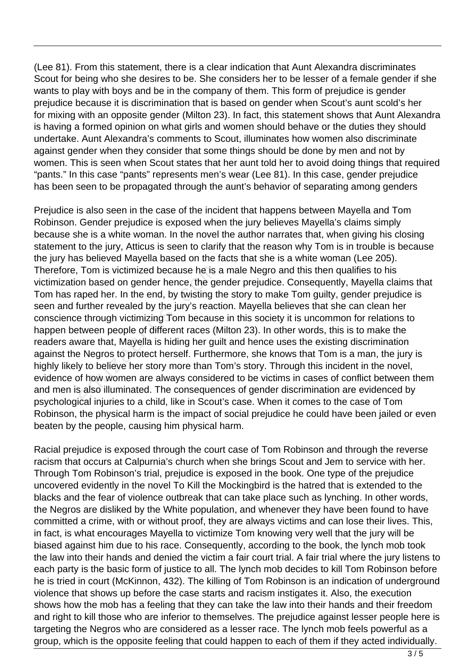(Lee 81). From this statement, there is a clear indication that Aunt Alexandra discriminates Scout for being who she desires to be. She considers her to be lesser of a female gender if she wants to play with boys and be in the company of them. This form of prejudice is gender prejudice because it is discrimination that is based on gender when Scout's aunt scold's her for mixing with an opposite gender (Milton 23). In fact, this statement shows that Aunt Alexandra is having a formed opinion on what girls and women should behave or the duties they should undertake. Aunt Alexandra's comments to Scout, illuminates how women also discriminate against gender when they consider that some things should be done by men and not by women. This is seen when Scout states that her aunt told her to avoid doing things that required "pants." In this case "pants" represents men's wear (Lee 81). In this case, gender prejudice has been seen to be propagated through the aunt's behavior of separating among genders

Prejudice is also seen in the case of the incident that happens between Mayella and Tom Robinson. Gender prejudice is exposed when the jury believes Mayella's claims simply because she is a white woman. In the novel the author narrates that, when giving his closing statement to the jury, Atticus is seen to clarify that the reason why Tom is in trouble is because the jury has believed Mayella based on the facts that she is a white woman (Lee 205). Therefore, Tom is victimized because he is a male Negro and this then qualifies to his victimization based on gender hence, the gender prejudice. Consequently, Mayella claims that Tom has raped her. In the end, by twisting the story to make Tom guilty, gender prejudice is seen and further revealed by the jury's reaction. Mayella believes that she can clean her conscience through victimizing Tom because in this society it is uncommon for relations to happen between people of different races (Milton 23). In other words, this is to make the readers aware that, Mayella is hiding her guilt and hence uses the existing discrimination against the Negros to protect herself. Furthermore, she knows that Tom is a man, the jury is highly likely to believe her story more than Tom's story. Through this incident in the novel, evidence of how women are always considered to be victims in cases of conflict between them and men is also illuminated. The consequences of gender discrimination are evidenced by psychological injuries to a child, like in Scout's case. When it comes to the case of Tom Robinson, the physical harm is the impact of social prejudice he could have been jailed or even beaten by the people, causing him physical harm. Tom is victimized because he is a<br>on based on gender hence, the ge<br>aped her. In the end, by twisting th<br>iurther revealed by the jury's react<br>e through victimizing Tom because<br>tween people of different races (N<br>vare that, M

Racial prejudice is exposed through the court case of Tom Robinson and through the reverse racism that occurs at Calpurnia's church when she brings Scout and Jem to service with her. Through Tom Robinson's trial, prejudice is exposed in the book. One type of the prejudice uncovered evidently in the novel To Kill the Mockingbird is the hatred that is extended to the blacks and the fear of violence outbreak that can take place such as lynching. In other words, the Negros are disliked by the White population, and whenever they have been found to have committed a crime, with or without proof, they are always victims and can lose their lives. This, in fact, is what encourages Mayella to victimize Tom knowing very well that the jury will be biased against him due to his race. Consequently, according to the book, the lynch mob took the law into their hands and denied the victim a fair court trial. A fair trial where the jury listens to each party is the basic form of justice to all. The lynch mob decides to kill Tom Robinson before he is tried in court (McKinnon, 432). The killing of Tom Robinson is an indication of underground violence that shows up before the case starts and racism instigates it. Also, the execution shows how the mob has a feeling that they can take the law into their hands and their freedom and right to kill those who are inferior to themselves. The prejudice against lesser people here is targeting the Negros who are considered as a lesser race. The lynch mob feels powerful as a group, which is the opposite feeling that could happen to each of them if they acted individually.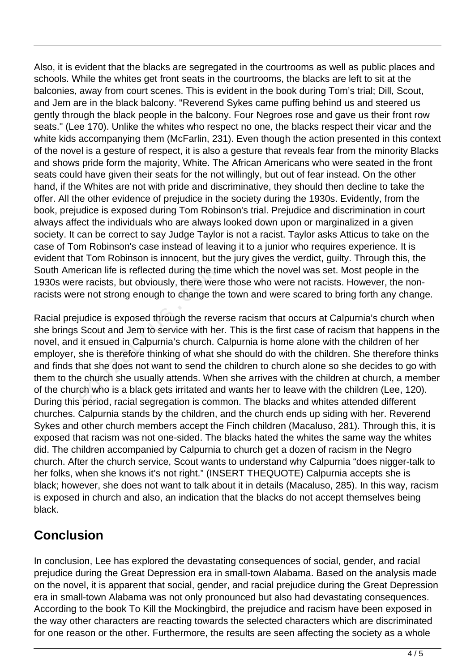Also, it is evident that the blacks are segregated in the courtrooms as well as public places and schools. While the whites get front seats in the courtrooms, the blacks are left to sit at the balconies, away from court scenes. This is evident in the book during Tom's trial; Dill, Scout, and Jem are in the black balcony. "Reverend Sykes came puffing behind us and steered us gently through the black people in the balcony. Four Negroes rose and gave us their front row seats." (Lee 170). Unlike the whites who respect no one, the blacks respect their vicar and the white kids accompanying them (McFarlin, 231). Even though the action presented in this context of the novel is a gesture of respect, it is also a gesture that reveals fear from the minority Blacks and shows pride form the majority, White. The African Americans who were seated in the front seats could have given their seats for the not willingly, but out of fear instead. On the other hand, if the Whites are not with pride and discriminative, they should then decline to take the offer. All the other evidence of prejudice in the society during the 1930s. Evidently, from the book, prejudice is exposed during Tom Robinson's trial. Prejudice and discrimination in court always affect the individuals who are always looked down upon or marginalized in a given society. It can be correct to say Judge Taylor is not a racist. Taylor asks Atticus to take on the case of Tom Robinson's case instead of leaving it to a junior who requires experience. It is evident that Tom Robinson is innocent, but the jury gives the verdict, guilty. Through this, the South American life is reflected during the time which the novel was set. Most people in the 1930s were racists, but obviously, there were those who were not racists. However, the nonracists were not strong enough to change the town and were scared to bring forth any change.

Racial prejudice is exposed through the reverse racism that occurs at Calpurnia's church when she brings Scout and Jem to service with her. This is the first case of racism that happens in the novel, and it ensued in Calpurnia's church. Calpurnia is home alone with the children of her employer, she is therefore thinking of what she should do with the children. She therefore thinks and finds that she does not want to send the children to church alone so she decides to go with them to the church she usually attends. When she arrives with the children at church, a member of the church who is a black gets irritated and wants her to leave with the children (Lee, 120). During this period, racial segregation is common. The blacks and whites attended different churches. Calpurnia stands by the children, and the church ends up siding with her. Reverend Sykes and other church members accept the Finch children (Macaluso, 281). Through this, it is exposed that racism was not one-sided. The blacks hated the whites the same way the whites did. The children accompanied by Calpurnia to church get a dozen of racism in the Negro church. After the church service, Scout wants to understand why Calpurnia "does nigger-talk to her folks, when she knows it's not right." (INSERT THEQUOTE) Calpurnia accepts she is black; however, she does not want to talk about it in details (Macaluso, 285). In this way, racism is exposed in church and also, an indication that the blacks do not accept themselves being black. erican life is reflected during the tire<br>
e racists, but obviously, there wer<br>
re not strong enough to change th<br>
judice is exposed through the reve<br>
Scout and Jem to service with he<br>
it ensued in Calpurnia's church. C<br>
sh

## **Conclusion**

In conclusion, Lee has explored the devastating consequences of social, gender, and racial prejudice during the Great Depression era in small-town Alabama. Based on the analysis made on the novel, it is apparent that social, gender, and racial prejudice during the Great Depression era in small-town Alabama was not only pronounced but also had devastating consequences. According to the book To Kill the Mockingbird, the prejudice and racism have been exposed in the way other characters are reacting towards the selected characters which are discriminated for one reason or the other. Furthermore, the results are seen affecting the society as a whole